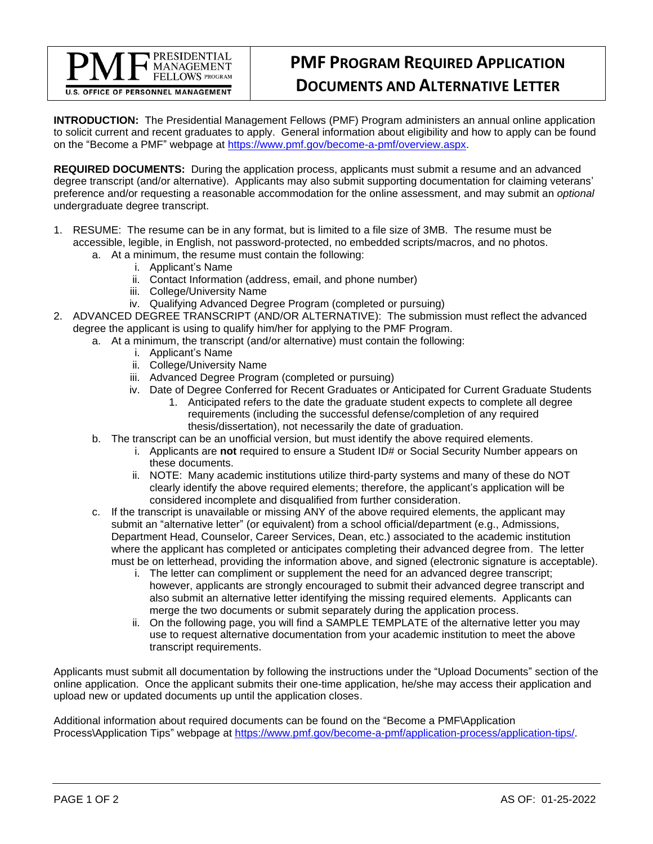**PMF PROGRAM REQUIRED APPLICATION DOCUMENTS AND ALTERNATIVE LETTER**

**INTRODUCTION:** The Presidential Management Fellows (PMF) Program administers an annual online application to solicit current and recent graduates to apply. General information about eligibility and how to apply can be found on the "Become a PMF" webpage at [https://www.pmf.gov/become-a-pmf/overview.aspx.](https://www.pmf.gov/become-a-pmf/overview.aspx)

**REQUIRED DOCUMENTS:** During the application process, applicants must submit a resume and an advanced degree transcript (and/or alternative). Applicants may also submit supporting documentation for claiming veterans' preference and/or requesting a reasonable accommodation for the online assessment, and may submit an *optional* undergraduate degree transcript.

- 1. RESUME: The resume can be in any format, but is limited to a file size of 3MB. The resume must be accessible, legible, in English, not password-protected, no embedded scripts/macros, and no photos.
	- a. At a minimum, the resume must contain the following:
		- i. Applicant's Name

**PRESIDENTIAL MANAGEMENT** FELLOWS PROGRAM

**U.S. OFFICE OF PERSONNEL MANAGEMENT** 

- ii. Contact Information (address, email, and phone number)
- iii. College/University Name
- iv. Qualifying Advanced Degree Program (completed or pursuing)
- 2. ADVANCED DEGREE TRANSCRIPT (AND/OR ALTERNATIVE): The submission must reflect the advanced degree the applicant is using to qualify him/her for applying to the PMF Program.
	- a. At a minimum, the transcript (and/or alternative) must contain the following:
		- i. Applicant's Name
		- ii. College/University Name
		- iii. Advanced Degree Program (completed or pursuing)
		- iv. Date of Degree Conferred for Recent Graduates or Anticipated for Current Graduate Students
			- 1. Anticipated refers to the date the graduate student expects to complete all degree requirements (including the successful defense/completion of any required thesis/dissertation), not necessarily the date of graduation.
	- b. The transcript can be an unofficial version, but must identify the above required elements.
		- i. Applicants are **not** required to ensure a Student ID# or Social Security Number appears on these documents.
		- ii. NOTE: Many academic institutions utilize third-party systems and many of these do NOT clearly identify the above required elements; therefore, the applicant's application will be considered incomplete and disqualified from further consideration.
	- c. If the transcript is unavailable or missing ANY of the above required elements, the applicant may submit an "alternative letter" (or equivalent) from a school official/department (e.g., Admissions, Department Head, Counselor, Career Services, Dean, etc.) associated to the academic institution where the applicant has completed or anticipates completing their advanced degree from. The letter must be on letterhead, providing the information above, and signed (electronic signature is acceptable).
		- i. The letter can compliment or supplement the need for an advanced degree transcript; however, applicants are strongly encouraged to submit their advanced degree transcript and also submit an alternative letter identifying the missing required elements. Applicants can merge the two documents or submit separately during the application process.
		- ii. On the following page, you will find a SAMPLE TEMPLATE of the alternative letter you may use to request alternative documentation from your academic institution to meet the above transcript requirements.

Applicants must submit all documentation by following the instructions under the "Upload Documents" section of the online application. Once the applicant submits their one-time application, he/she may access their application and upload new or updated documents up until the application closes.

Additional information about required documents can be found on the "Become a PMF\Application Process\Application Tips" webpage at [https://www.pmf.gov/become-a-pmf/application-process/application-tips/.](https://www.pmf.gov/become-a-pmf/application-process/application-tips/)